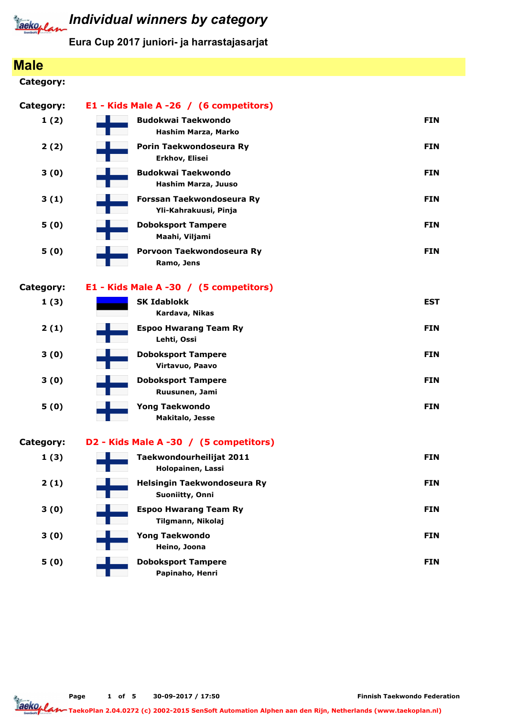

#### Individual winners by category

Eura Cup 2017 juniori- ja harrastajasarjat

#### Male Category: Category: E1 - Kids Male A -26 / (6 competitors) 1 (2) Hashim Marza, Marko Budokwai Taekwondo FIN ambao kwa mwaka wa 1989 aliani wa 1989 aliani wa 1989 aliani wa 1989 aliani wa 1989 ali 2 (2) Erkhov, Elisei Porin Taekwondoseura Ry **FIN** 3 (0) Hashim Marza, Juuso Budokwai Taekwondo **FIN** 3 (1) Yli-Kahrakuusi, Pinja Forssan Taekwondoseura Ry FIN 5 (0) Maahi, Viljami Doboksport Tampere FIN 5 (0) Ramo, Jens Porvoon Taekwondoseura Ry FIN Category: E1 - Kids Male A -30 / (5 competitors) 1 (3) Kardava, Nikas SK Idablokk EST 2 (1) Lehti, Ossi Espoo Hwarang Team Ry FIN 3 (0) Virtavuo, Paavo Doboksport Tampere FIN 3 (0) Ruusunen, Jami Doboksport Tampere FIN 5 (0) Makitalo, Jesse Yong Taekwondo FIN Category: D2 - Kids Male A -30 / (5 competitors) 1 (3) Holopainen, Lassi Taekwondourheilijat 2011 **FIN** 2 (1) Suoniitty, Onni Helsingin Taekwondoseura Ry FIN 3 (0) Tilgmann, Nikolaj Espoo Hwarang Team Ry FIN 3 (0) Heino, Joona Yong Taekwondo FIN 5 (0) Papinaho, Henri Doboksport Tampere FIN

Page 1 of 5 30-09-2017 / 17:50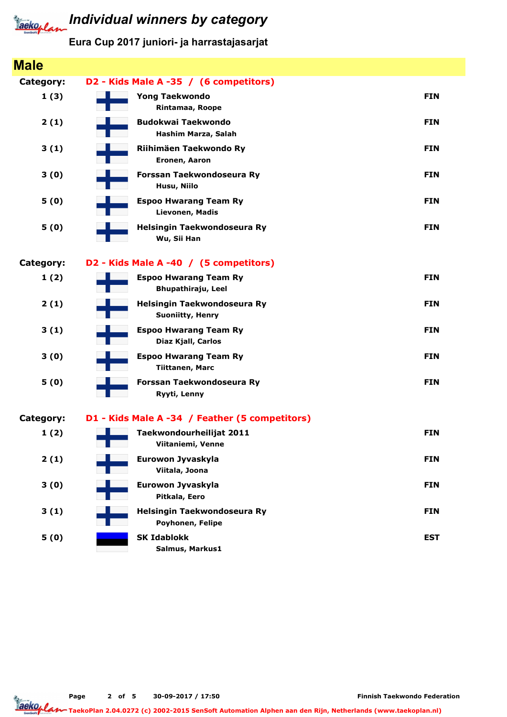

#### Eura Cup 2017 juniori- ja harrastajasarjat

| <b>Male</b> |                                                           |            |
|-------------|-----------------------------------------------------------|------------|
| Category:   | D2 - Kids Male A -35 / (6 competitors)                    |            |
| 1(3)        | <b>Yong Taekwondo</b><br>Rintamaa, Roope                  | <b>FIN</b> |
| 2(1)        | <b>Budokwai Taekwondo</b><br>Hashim Marza, Salah          | <b>FIN</b> |
| 3(1)        | Riihimäen Taekwondo Ry<br>Eronen, Aaron                   | <b>FIN</b> |
| 3(0)        | Forssan Taekwondoseura Ry<br>Husu, Niilo                  | <b>FIN</b> |
| 5(0)        | <b>Espoo Hwarang Team Ry</b><br>Lievonen, Madis           | <b>FIN</b> |
| 5(0)        | Helsingin Taekwondoseura Ry<br>Wu, Sii Han                | <b>FIN</b> |
| Category:   | D2 - Kids Male A -40 / (5 competitors)                    |            |
| 1(2)        | <b>Espoo Hwarang Team Ry</b><br><b>Bhupathiraju, Leel</b> | <b>FIN</b> |
| 2(1)        | Helsingin Taekwondoseura Ry<br><b>Suoniitty, Henry</b>    | <b>FIN</b> |
| 3(1)        | <b>Espoo Hwarang Team Ry</b><br>Diaz Kjall, Carlos        | <b>FIN</b> |
| 3(0)        | <b>Espoo Hwarang Team Ry</b><br><b>Tiittanen, Marc</b>    | <b>FIN</b> |
| 5(0)        | Forssan Taekwondoseura Ry<br>Ryyti, Lenny                 | <b>FIN</b> |
| Category:   | D1 - Kids Male A -34 / Feather (5 competitors)            |            |
| 1(2)        | Taekwondourheilijat 2011<br>Viitaniemi, Venne             | <b>FIN</b> |
| 2(1)        | Eurowon Jyvaskyla<br>Viitala, Joona                       | <b>FIN</b> |
| 3(0)        | Eurowon Jyvaskyla<br>Pitkala, Eero                        | <b>FIN</b> |
| 3(1)        | Helsingin Taekwondoseura Ry<br>Poyhonen, Felipe           | <b>FIN</b> |
| 5(0)        | <b>SK Idablokk</b><br>Salmus, Markus1                     | <b>EST</b> |

Page 2 of 5 30-09-2017 / 17:50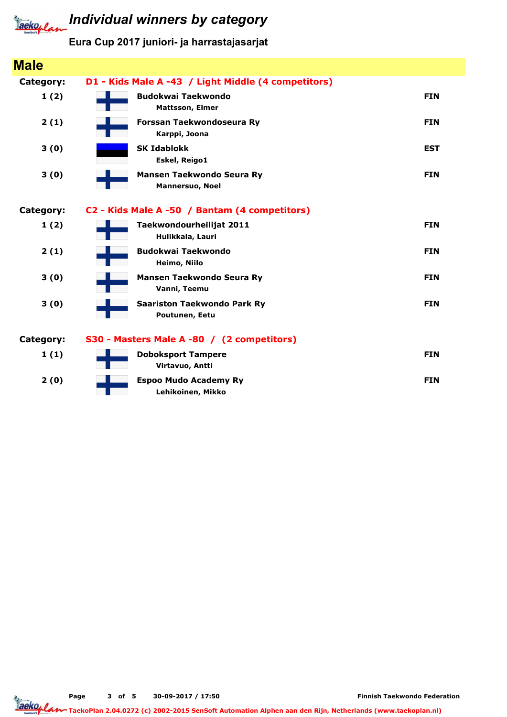

#### Eura Cup 2017 juniori- ja harrastajasarjat

| <b>Male</b>      |                                                            |            |
|------------------|------------------------------------------------------------|------------|
| Category:        | D1 - Kids Male A -43 / Light Middle (4 competitors)        |            |
| 1(2)             | <b>Budokwai Taekwondo</b><br><b>Mattsson, Elmer</b>        | <b>FIN</b> |
| 2(1)             | Forssan Taekwondoseura Ry<br>Karppi, Joona                 | <b>FIN</b> |
| 3(0)             | <b>SK Idablokk</b><br>Eskel, Reigo1                        | <b>EST</b> |
| 3(0)             | <b>Mansen Taekwondo Seura Ry</b><br><b>Mannersuo, Noel</b> | <b>FIN</b> |
| Category:        | C2 - Kids Male A -50 / Bantam (4 competitors)              |            |
| 1(2)             | Taekwondourheilijat 2011<br>Hulikkala, Lauri               | <b>FIN</b> |
| 2(1)             | <b>Budokwai Taekwondo</b><br>Heimo, Niilo                  | <b>FIN</b> |
| 3(0)             | <b>Mansen Taekwondo Seura Ry</b><br>Vanni, Teemu           | <b>FIN</b> |
| 3(0)             | <b>Saariston Taekwondo Park Ry</b><br>Poutunen, Eetu       | <b>FIN</b> |
| <b>Category:</b> | S30 - Masters Male A -80 / (2 competitors)                 |            |
| 1(1)             | <b>Doboksport Tampere</b><br>Virtavuo, Antti               | <b>FIN</b> |
| 2(0)             | <b>Espoo Mudo Academy Ry</b><br>Lehikoinen, Mikko          | <b>FIN</b> |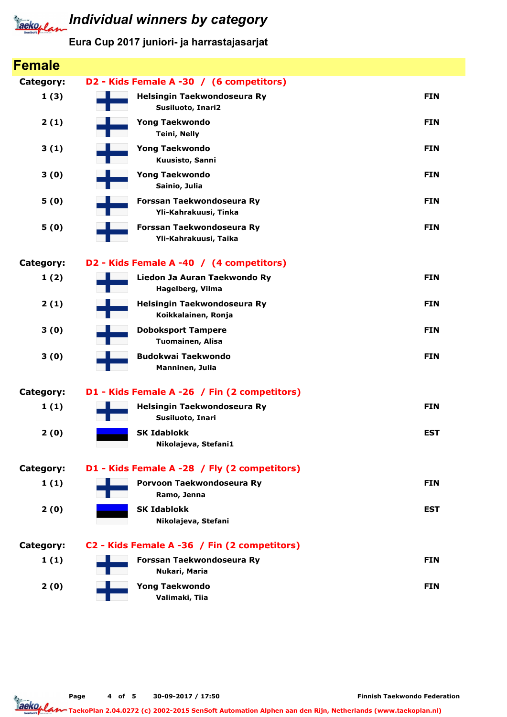

#### Eura Cup 2017 juniori- ja harrastajasarjat

| <b>Female</b> |                                                    |            |
|---------------|----------------------------------------------------|------------|
| Category:     | D2 - Kids Female A -30 / (6 competitors)           |            |
| 1(3)          | Helsingin Taekwondoseura Ry<br>Susiluoto, Inari2   | <b>FIN</b> |
| 2(1)          | <b>Yong Taekwondo</b><br><b>Teini, Nelly</b>       | <b>FIN</b> |
| 3(1)          | <b>Yong Taekwondo</b><br>Kuusisto, Sanni           | <b>FIN</b> |
| 3(0)          | <b>Yong Taekwondo</b><br>Sainio, Julia             | <b>FIN</b> |
| 5(0)          | Forssan Taekwondoseura Ry<br>Yli-Kahrakuusi, Tinka | <b>FIN</b> |
| 5(0)          | Forssan Taekwondoseura Ry<br>Yli-Kahrakuusi, Taika | <b>FIN</b> |
| Category:     | D2 - Kids Female A -40 / (4 competitors)           |            |
| 1(2)          | Liedon Ja Auran Taekwondo Ry<br>Hagelberg, Vilma   | <b>FIN</b> |
| 2(1)          | Helsingin Taekwondoseura Ry<br>Koikkalainen, Ronja | <b>FIN</b> |
| 3(0)          | <b>Doboksport Tampere</b><br>Tuomainen, Alisa      | <b>FIN</b> |
| 3(0)          | <b>Budokwai Taekwondo</b><br>Manninen, Julia       | <b>FIN</b> |
| Category:     | D1 - Kids Female A -26 / Fin (2 competitors)       |            |
| 1(1)          | Helsingin Taekwondoseura Ry<br>Susiluoto, Inari    | <b>FIN</b> |
| 2(0)          | <b>SK Idablokk</b><br>Nikolajeva, Stefani1         | <b>EST</b> |
| Category:     | D1 - Kids Female A -28 / Fly (2 competitors)       |            |
| 1(1)          | Porvoon Taekwondoseura Ry<br>Ramo, Jenna           | <b>FIN</b> |
| 2(0)          | <b>SK Idablokk</b><br>Nikolajeva, Stefani          | <b>EST</b> |
| Category:     | C2 - Kids Female A -36 / Fin (2 competitors)       |            |
| 1(1)          | Forssan Taekwondoseura Ry<br>Nukari, Maria         | <b>FIN</b> |
| 2(0)          | <b>Yong Taekwondo</b><br>Valimaki, Tiia            | <b>FIN</b> |
|               |                                                    |            |

Page 4 of 5 30-09-2017 / 17:50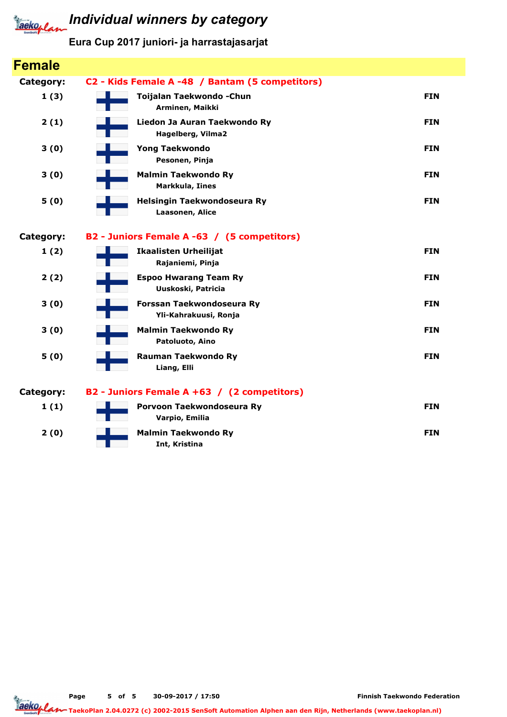

#### Eura Cup 2017 juniori- ja harrastajasarjat

| <b>Female</b>    |                                                    |            |
|------------------|----------------------------------------------------|------------|
| Category:        | C2 - Kids Female A -48 / Bantam (5 competitors)    |            |
| 1(3)             | Toijalan Taekwondo - Chun<br>Arminen, Maikki       | <b>FIN</b> |
| 2(1)             | Liedon Ja Auran Taekwondo Ry<br>Hagelberg, Vilma2  | <b>FIN</b> |
| 3(0)             | <b>Yong Taekwondo</b><br>Pesonen, Pinja            | <b>FIN</b> |
| 3(0)             | <b>Malmin Taekwondo Ry</b><br>Markkula, Iines      | <b>FIN</b> |
| 5(0)             | Helsingin Taekwondoseura Ry<br>Laasonen, Alice     | <b>FIN</b> |
| <b>Category:</b> | B2 - Juniors Female A -63 / (5 competitors)        |            |
| 1(2)             | <b>Ikaalisten Urheilijat</b><br>Rajaniemi, Pinja   | <b>FIN</b> |
| 2(2)             | <b>Espoo Hwarang Team Ry</b><br>Uuskoski, Patricia | <b>FIN</b> |
| 3(0)             | Forssan Taekwondoseura Ry<br>Yli-Kahrakuusi, Ronja | <b>FIN</b> |
| 3(0)             | <b>Malmin Taekwondo Ry</b><br>Patoluoto, Aino      | <b>FIN</b> |
| 5(0)             | <b>Rauman Taekwondo Ry</b><br>Liang, Elli          | <b>FIN</b> |
| <b>Category:</b> | B2 - Juniors Female A +63 / (2 competitors)        |            |
| 1(1)             | Porvoon Taekwondoseura Ry<br>Varpio, Emilia        | <b>FIN</b> |
| 2(0)             | <b>Malmin Taekwondo Ry</b><br>Int, Kristina        | <b>FIN</b> |

Page 5 of 5 30-09-2017 / 17:50

Finnish Taekwondo Federation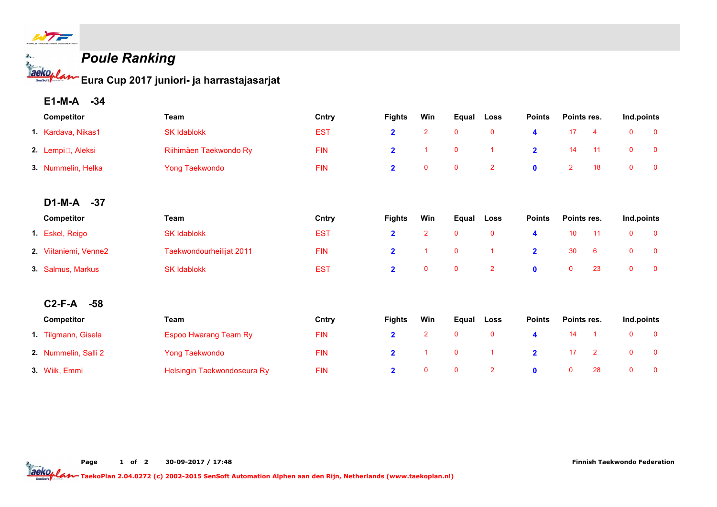

#### Poule Ranking

Eura Cup 2017 juniori- ja harrastajasarjat

E1-M-A -34

| Competitor                     | Team                         | Cntry      | <b>Fights</b>           | Win            | Equal        | Loss           | <b>Points</b>  | Points res.     |                | Ind.points   |              |
|--------------------------------|------------------------------|------------|-------------------------|----------------|--------------|----------------|----------------|-----------------|----------------|--------------|--------------|
| 1. Kardava, Nikas1             | <b>SK Idablokk</b>           | <b>EST</b> | $\overline{\mathbf{2}}$ | $\overline{2}$ | $\mathbf 0$  | $\mathbf 0$    | 4              | 17              | 4              | $\mathbf 0$  | $\mathbf 0$  |
| 2. Lempi <sup>n</sup> , Aleksi | Riihimäen Taekwondo Ry       | <b>FIN</b> | $\overline{2}$          | 1              | $\mathbf 0$  |                | $\overline{2}$ | 14              | 11             | $\mathbf{0}$ | $\mathbf 0$  |
| 3. Nummelin, Helka             | <b>Yong Taekwondo</b>        | <b>FIN</b> | $\overline{\mathbf{2}}$ | $\mathbf 0$    | $\mathbf 0$  | $\overline{2}$ | $\mathbf 0$    | $\overline{2}$  | 18             | $\mathbf 0$  | $\mathbf 0$  |
| D1-M-A -37                     |                              |            |                         |                |              |                |                |                 |                |              |              |
| Competitor                     | Team                         | Cntry      | <b>Fights</b>           | Win            | Equal        | Loss           | <b>Points</b>  | Points res.     |                | Ind.points   |              |
| 1. Eskel, Reigo                | <b>SK Idablokk</b>           | <b>EST</b> | $\overline{2}$          | $\overline{2}$ | $\mathbf 0$  | $\mathbf{0}$   | 4              | 10 <sup>°</sup> | 11             | $\mathbf 0$  | $\mathbf 0$  |
| 2. Viitaniemi, Venne2          | Taekwondourheilijat 2011     | <b>FIN</b> | $\overline{2}$          |                | $\mathbf 0$  |                | $\overline{2}$ | 30              | 6              | $\mathbf{0}$ | $\mathbf{0}$ |
| 3. Salmus, Markus              | <b>SK Idablokk</b>           | <b>EST</b> | $\overline{2}$          | $\mathbf{0}$   | $\mathbf 0$  | $\overline{2}$ | $\mathbf{0}$   | $\mathbf 0$     | 23             | $\mathbf 0$  | $\mathbf 0$  |
| $C2-F-A$<br>$-58$              |                              |            |                         |                |              |                |                |                 |                |              |              |
| <b>Competitor</b>              | Team                         | Cntry      | <b>Fights</b>           | Win            | Equal        | Loss           | <b>Points</b>  | Points res.     |                | Ind.points   |              |
| 1. Tilgmann, Gisela            | <b>Espoo Hwarang Team Ry</b> | <b>FIN</b> | $\overline{2}$          | $\overline{2}$ | $\mathbf{0}$ | $\mathbf{0}$   | 4              | 14              |                | $\mathbf 0$  | $\mathbf 0$  |
| 2. Nummelin, Salli 2           | <b>Yong Taekwondo</b>        | <b>FIN</b> | $\overline{\mathbf{2}}$ | 1              | $\mathbf 0$  |                | $\mathbf{2}$   | 17              | $\overline{2}$ | $\mathbf 0$  | $\mathbf 0$  |
| 3. Wiik, Emmi                  | Helsingin Taekwondoseura Ry  | <b>FIN</b> | $\overline{2}$          | $\mathbf{0}$   | $\mathbf{0}$ | $\overline{2}$ | $\mathbf{0}$   | $\mathbf{0}$    | 28             | $\mathbf{0}$ | $\mathbf 0$  |

20ko/lan TaekoPlan 2.04.0272 (c) 2002-2015 SenSoft Automation Alphen aan den Rijn, Netherlands (www.taekoplan.nl)